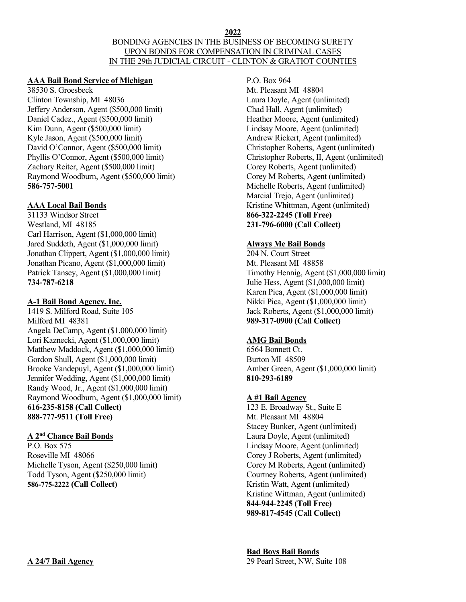#### **2022** BONDING AGENCIES IN THE BUSINESS OF BECOMING SURETY UPON BONDS FOR COMPENSATION IN CRIMINAL CASES IN THE 29th JUDICIAL CIRCUIT - CLINTON & GRATIOT COUNTIES

#### **AAA Bail Bond Service of Michigan**

38530 S. Groesbeck Clinton Township, MI 48036 Jeffery Anderson, Agent (\$500,000 limit) Daniel Cadez., Agent (\$500,000 limit) Kim Dunn, Agent (\$500,000 limit) Kyle Jason, Agent (\$500,000 limit) David O'Connor, Agent (\$500,000 limit) Phyllis O'Connor, Agent (\$500,000 limit) Zachary Reiter, Agent (\$500,000 limit) Raymond Woodburn, Agent (\$500,000 limit) **586-757-5001**

#### **AAA Local Bail Bonds**

31133 Windsor Street Westland, MI 48185 Carl Harrison, Agent (\$1,000,000 limit) Jared Suddeth, Agent (\$1,000,000 limit) Jonathan Clippert, Agent (\$1,000,000 limit) Jonathan Picano, Agent (\$1,000,000 limit) Patrick Tansey, Agent (\$1,000,000 limit) **734-787-6218**

#### **A-1 Bail Bond Agency, Inc.**

1419 S. Milford Road, Suite 105 Milford MI 48381 Angela DeCamp, Agent (\$1,000,000 limit) Lori Kaznecki, Agent (\$1,000,000 limit) Matthew Maddock, Agent (\$1,000,000 limit) Gordon Shull, Agent (\$1,000,000 limit) Brooke Vandepuyl, Agent (\$1,000,000 limit) Jennifer Wedding, Agent (\$1,000,000 limit) Randy Wood, Jr., Agent (\$1,000,000 limit) Raymond Woodburn, Agent (\$1,000,000 limit) **616-235-8158 (Call Collect) 888-777-9511 (Toll Free)**

## **A 2nd Chance Bail Bonds**

P.O. Box 575 Roseville MI 48066 Michelle Tyson, Agent (\$250,000 limit) Todd Tyson, Agent (\$250,000 limit) **586-775-2222 (Call Collect)**

P.O. Box 964

Mt. Pleasant MI 48804 Laura Doyle, Agent (unlimited) Chad Hall, Agent (unlimited) Heather Moore, Agent (unlimited) Lindsay Moore, Agent (unlimited) Andrew Rickert, Agent (unlimited) Christopher Roberts, Agent (unlimited) Christopher Roberts, II, Agent (unlimited) Corey Roberts, Agent (unlimited) Corey M Roberts, Agent (unlimited) Michelle Roberts, Agent (unlimited) Marcial Trejo, Agent (unlimited) Kristine Whittman, Agent (unlimited) **866-322-2245 (Toll Free) 231-796-6000 (Call Collect)**

#### **Always Me Bail Bonds**

204 N. Court Street Mt. Pleasant MI 48858 Timothy Hennig, Agent (\$1,000,000 limit) Julie Hess, Agent (\$1,000,000 limit) Karen Pica, Agent (\$1,000,000 limit) Nikki Pica, Agent (\$1,000,000 limit) Jack Roberts, Agent (\$1,000,000 limit) **989-317-0900 (Call Collect)**

## **AMG Bail Bonds**

6564 Bonnett Ct. Burton MI 48509 Amber Green, Agent (\$1,000,000 limit) **810-293-6189**

## **A #1 Bail Agency**

123 E. Broadway St., Suite E Mt. Pleasant MI 48804 Stacey Bunker, Agent (unlimited) Laura Doyle, Agent (unlimited) Lindsay Moore, Agent (unlimited) Corey J Roberts, Agent (unlimited) Corey M Roberts, Agent (unlimited) Courtney Roberts, Agent (unlimited) Kristin Watt, Agent (unlimited) Kristine Wittman, Agent (unlimited) **844-944-2245 (Toll Free) 989-817-4545 (Call Collect)**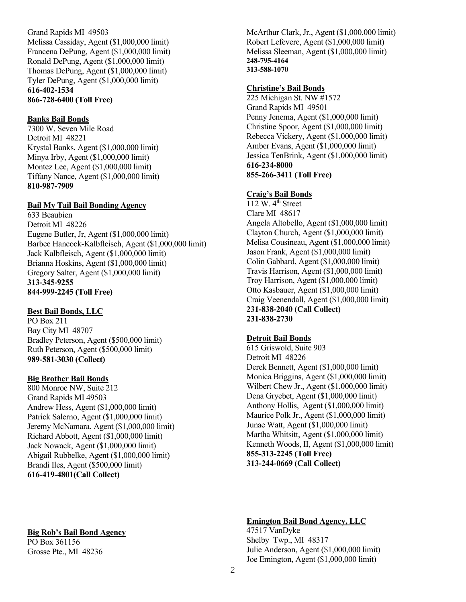Grand Rapids MI 49503 Melissa Cassiday, Agent (\$1,000,000 limit) Francena DePung, Agent (\$1,000,000 limit) Ronald DePung, Agent (\$1,000,000 limit) Thomas DePung, Agent (\$1,000,000 limit) Tyler DePung, Agent (\$1,000,000 limit) **616-402-1534 866-728-6400 (Toll Free)**

## **Banks Bail Bonds**

7300 W. Seven Mile Road Detroit MI 48221 Krystal Banks, Agent (\$1,000,000 limit) Minya Irby, Agent (\$1,000,000 limit) Montez Lee, Agent (\$1,000,000 limit) Tiffany Nance, Agent (\$1,000,000 limit) **810-987-7909**

# **Bail My Tail Bail Bonding Agency**

633 Beaubien Detroit MI 48226 Eugene Butler, Jr, Agent (\$1,000,000 limit) Barbee Hancock-Kalbfleisch, Agent (\$1,000,000 limit) Jack Kalbfleisch, Agent (\$1,000,000 limit) Brianna Hoskins, Agent (\$1,000,000 limit) Gregory Salter, Agent (\$1,000,000 limit) **313-345-9255 844-999-2245 (Toll Free)**

# **Best Bail Bonds, LLC**

PO Box 211 Bay City MI 48707 Bradley Peterson, Agent (\$500,000 limit) Ruth Peterson, Agent (\$500,000 limit) **989-581-3030 (Collect)**

# **Big Brother Bail Bonds**

800 Monroe NW, Suite 212 Grand Rapids MI 49503 Andrew Hess, Agent (\$1,000,000 limit) Patrick Salerno, Agent (\$1,000,000 limit) Jeremy McNamara, Agent (\$1,000,000 limit) Richard Abbott, Agent (\$1,000,000 limit) Jack Nowack, Agent (\$1,000,000 limit) Abigail Rubbelke, Agent (\$1,000,000 limit) Brandi Iles, Agent (\$500,000 limit) **616-419-4801(Call Collect)**

McArthur Clark, Jr., Agent (\$1,000,000 limit) Robert Lefevere, Agent (\$1,000,000 limit) Melissa Sleeman, Agent (\$1,000,000 limit) **248-795-4164 313-588-1070**

# **Christine's Bail Bonds**

225 Michigan St. NW #1572 Grand Rapids MI 49501 Penny Jenema, Agent (\$1,000,000 limit) Christine Spoor, Agent (\$1,000,000 limit) Rebecca Vickery, Agent (\$1,000,000 limit) Amber Evans, Agent (\$1,000,000 limit) Jessica TenBrink, Agent (\$1,000,000 limit) **616-234-8000 855-266-3411 (Toll Free)**

## **Craig's Bail Bonds**

112 W. 4th Street Clare MI 48617 Angela Altobello, Agent (\$1,000,000 limit) Clayton Church, Agent (\$1,000,000 limit) Melisa Cousineau, Agent (\$1,000,000 limit) Jason Frank, Agent (\$1,000,000 limit) Colin Gabbard, Agent (\$1,000,000 limit) Travis Harrison, Agent (\$1,000,000 limit) Troy Harrison, Agent (\$1,000,000 limit) Otto Kasbauer, Agent (\$1,000,000 limit) Craig Veenendall, Agent (\$1,000,000 limit) **231-838-2040 (Call Collect) 231-838-2730**

# **Detroit Bail Bonds**

615 Griswold, Suite 903 Detroit MI 48226 Derek Bennett, Agent (\$1,000,000 limit) Monica Briggins, Agent (\$1,000,000 limit) Wilbert Chew Jr., Agent (\$1,000,000 limit) Dena Gryebet, Agent (\$1,000,000 limit) Anthony Hollis, Agent (\$1,000,000 limit) Maurice Polk Jr., Agent (\$1,000,000 limit) Junae Watt, Agent (\$1,000,000 limit) Martha Whitsitt, Agent (\$1,000,000 limit) Kenneth Woods, II, Agent (\$1,000,000 limit) **855-313-2245 (Toll Free) 313-244-0669 (Call Collect)**

# **Big Rob's Bail Bond Agency**

PO Box 361156 Grosse Pte., MI 48236

## **Emington Bail Bond Agency, LLC**

47517 VanDyke Shelby Twp., MI 48317 Julie Anderson, Agent (\$1,000,000 limit) Joe Emington, Agent (\$1,000,000 limit)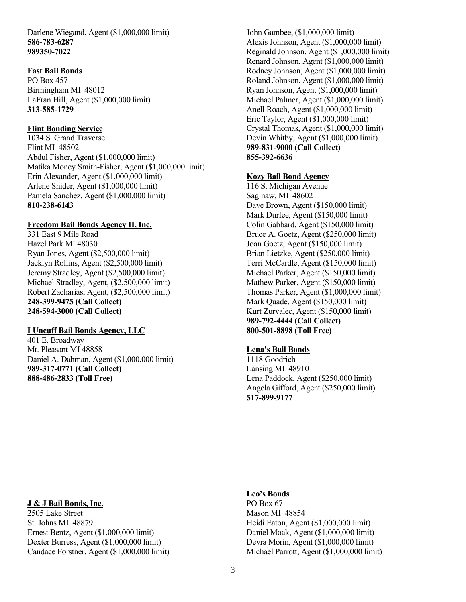Darlene Wiegand, Agent (\$1,000,000 limit) **586-783-6287 989350-7022**

#### **Fast Bail Bonds**

PO Box 457 Birmingham MI 48012 LaFran Hill, Agent (\$1,000,000 limit) **313-585-1729**

## **Flint Bonding Service**

1034 S. Grand Traverse Flint MI 48502 Abdul Fisher, Agent (\$1,000,000 limit) Matika Money Smith-Fisher, Agent (\$1,000,000 limit) Erin Alexander, Agent (\$1,000,000 limit) Arlene Snider, Agent (\$1,000,000 limit) Pamela Sanchez, Agent (\$1,000,000 limit) **810-238-6143**

## **Freedom Bail Bonds Agency II, Inc.**

331 East 9 Mile Road Hazel Park MI 48030 Ryan Jones, Agent (\$2,500,000 limit) Jacklyn Rollins, Agent (\$2,500,000 limit) Jeremy Stradley, Agent (\$2,500,000 limit) Michael Stradley, Agent, (\$2,500,000 limit) Robert Zacharias, Agent, (\$2,500,000 limit) **248-399-9475 (Call Collect) 248-594-3000 (Call Collect)**

## **I Uncuff Bail Bonds Agency, LLC**

401 E. Broadway Mt. Pleasant MI 48858 Daniel A. Dahman, Agent (\$1,000,000 limit) **989-317-0771 (Call Collect) 888-486-2833 (Toll Free)**

John Gambee, (\$1,000,000 limit) Alexis Johnson, Agent (\$1,000,000 limit) Reginald Johnson, Agent (\$1,000,000 limit) Renard Johnson, Agent (\$1,000,000 limit) Rodney Johnson, Agent (\$1,000,000 limit) Roland Johnson, Agent (\$1,000,000 limit) Ryan Johnson, Agent (\$1,000,000 limit) Michael Palmer, Agent (\$1,000,000 limit) Anell Roach, Agent (\$1,000,000 limit) Eric Taylor, Agent (\$1,000,000 limit) Crystal Thomas, Agent (\$1,000,000 limit) Devin Whitby, Agent (\$1,000,000 limit) **989-831-9000 (Call Collect) 855-392-6636**

## **Kozy Bail Bond Agency**

116 S. Michigan Avenue Saginaw, MI 48602 Dave Brown, Agent (\$150,000 limit) Mark Durfee, Agent (\$150,000 limit) Colin Gabbard, Agent (\$150,000 limit) Bruce A. Goetz, Agent (\$250,000 limit) Joan Goetz, Agent (\$150,000 limit) Brian Lietzke, Agent (\$250,000 limit) Terri McCardle, Agent (\$150,000 limit) Michael Parker, Agent (\$150,000 limit) Mathew Parker, Agent (\$150,000 limit) Thomas Parker, Agent (\$1,000,000 limit) Mark Quade, Agent (\$150,000 limit) Kurt Zurvalec, Agent (\$150,000 limit) **989-792-4444 (Call Collect) 800-501-8898 (Toll Free)**

## **Lena's Bail Bonds**

1118 Goodrich Lansing MI 48910 Lena Paddock, Agent (\$250,000 limit) Angela Gifford, Agent (\$250,000 limit) **517-899-9177**

#### **J & J Bail Bonds, Inc.**

2505 Lake Street St. Johns MI 48879 Ernest Bentz, Agent (\$1,000,000 limit) Dexter Burress, Agent (\$1,000,000 limit) Candace Forstner, Agent (\$1,000,000 limit)

## **Leo's Bonds**

PO Box 67 Mason MI 48854 Heidi Eaton, Agent (\$1,000,000 limit) Daniel Moak, Agent (\$1,000,000 limit) Devra Morin, Agent (\$1,000,000 limit) Michael Parrott, Agent (\$1,000,000 limit)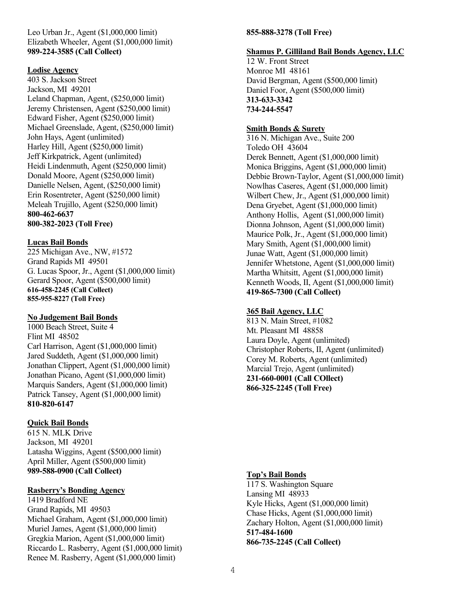Leo Urban Jr., Agent (\$1,000,000 limit) Elizabeth Wheeler, Agent (\$1,000,000 limit) **989-224-3585 (Call Collect)**

#### **Lodise Agency**

403 S. Jackson Street Jackson, MI 49201 Leland Chapman, Agent, (\$250,000 limit) Jeremy Christensen, Agent (\$250,000 limit) Edward Fisher, Agent (\$250,000 limit) Michael Greenslade, Agent, (\$250,000 limit) John Hays, Agent (unlimited) Harley Hill, Agent (\$250,000 limit) Jeff Kirkpatrick, Agent (unlimited) Heidi Lindenmuth, Agent (\$250,000 limit) Donald Moore, Agent (\$250,000 limit) Danielle Nelsen, Agent, (\$250,000 limit) Erin Rosentreter, Agent (\$250,000 limit) Meleah Trujillo, Agent (\$250,000 limit) **800-462-6637 800-382-2023 (Toll Free)**

## **Lucas Bail Bonds**

225 Michigan Ave., NW, #1572 Grand Rapids MI 49501 G. Lucas Spoor, Jr., Agent (\$1,000,000 limit) Gerard Spoor, Agent (\$500,000 limit) **616-458-2245 (Call Collect) 855-955-8227 (Toll Free)**

## **No Judgement Bail Bonds**

1000 Beach Street, Suite 4 Flint MI 48502 Carl Harrison, Agent (\$1,000,000 limit) Jared Suddeth, Agent (\$1,000,000 limit) Jonathan Clippert, Agent (\$1,000,000 limit) Jonathan Picano, Agent (\$1,000,000 limit) Marquis Sanders, Agent (\$1,000,000 limit) Patrick Tansey, Agent (\$1,000,000 limit) **810-820-6147**

## **Quick Bail Bonds**

615 N. MLK Drive Jackson, MI 49201 Latasha Wiggins, Agent (\$500,000 limit) April Miller, Agent (\$500,000 limit) **989-588-0900 (Call Collect)**

## **Rasberry's Bonding Agency**

1419 Bradford NE Grand Rapids, MI 49503 Michael Graham, Agent (\$1,000,000 limit) Muriel James, Agent (\$1,000,000 limit) Gregkia Marion, Agent (\$1,000,000 limit) Riccardo L. Rasberry, Agent (\$1,000,000 limit) Renee M. Rasberry, Agent (\$1,000,000 limit)

#### **855-888-3278 (Toll Free)**

#### **Shamus P. Gilliland Bail Bonds Agency, LLC**

12 W. Front Street Monroe MI 48161 David Bergman, Agent (\$500,000 limit) Daniel Foor, Agent (\$500,000 limit) **313-633-3342 734-244-5547**

#### **Smith Bonds & Surety**

316 N. Michigan Ave., Suite 200 Toledo OH 43604 Derek Bennett, Agent (\$1,000,000 limit) Monica Briggins, Agent (\$1,000,000 limit) Debbie Brown-Taylor, Agent (\$1,000,000 limit) Nowlhas Caseres, Agent (\$1,000,000 limit) Wilbert Chew, Jr., Agent (\$1,000,000 limit) Dena Gryebet, Agent (\$1,000,000 limit) Anthony Hollis, Agent (\$1,000,000 limit) Dionna Johnson, Agent (\$1,000,000 limit) Maurice Polk, Jr., Agent (\$1,000,000 limit) Mary Smith, Agent (\$1,000,000 limit) Junae Watt, Agent (\$1,000,000 limit) Jennifer Whetstone, Agent (\$1,000,000 limit) Martha Whitsitt, Agent (\$1,000,000 limit) Kenneth Woods, II, Agent (\$1,000,000 limit) **419-865-7300 (Call Collect)**

#### **365 Bail Agency, LLC**

813 N. Main Street, #1082 Mt. Pleasant MI 48858 Laura Doyle, Agent (unlimited) Christopher Roberts, II, Agent (unlimited) Corey M. Roberts, Agent (unlimited) Marcial Trejo, Agent (unlimited) **231-660-0001 (Call COllect) 866-325-2245 (Toll Free)**

#### **Top's Bail Bonds**

117 S. Washington Square Lansing MI 48933 Kyle Hicks, Agent (\$1,000,000 limit) Chase Hicks, Agent (\$1,000,000 limit) Zachary Holton, Agent (\$1,000,000 limit) **517-484-1600 866-735-2245 (Call Collect)**